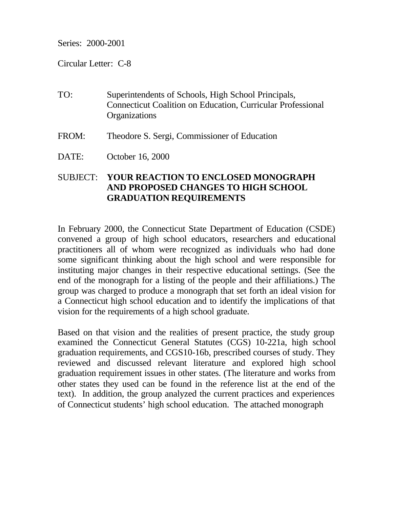Series: 2000-2001

Circular Letter: C-8

- TO: Superintendents of Schools, High School Principals, Connecticut Coalition on Education, Curricular Professional **Organizations**
- FROM: Theodore S. Sergi, Commissioner of Education
- DATE: October 16, 2000

# SUBJECT: **YOUR REACTION TO ENCLOSED MONOGRAPH AND PROPOSED CHANGES TO HIGH SCHOOL GRADUATION REQUIREMENTS**

In February 2000, the Connecticut State Department of Education (CSDE) convened a group of high school educators, researchers and educational practitioners all of whom were recognized as individuals who had done some significant thinking about the high school and were responsible for instituting major changes in their respective educational settings. (See the end of the monograph for a listing of the people and their affiliations.) The group was charged to produce a monograph that set forth an ideal vision for a Connecticut high school education and to identify the implications of that vision for the requirements of a high school graduate.

Based on that vision and the realities of present practice, the study group examined the Connecticut General Statutes (CGS) 10-221a, high school graduation requirements, and CGS10-16b, prescribed courses of study. They reviewed and discussed relevant literature and explored high school graduation requirement issues in other states. (The literature and works from other states they used can be found in the reference list at the end of the text). In addition, the group analyzed the current practices and experiences of Connecticut students' high school education. The attached monograph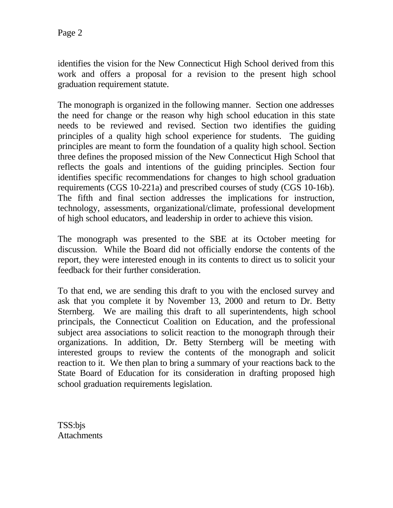identifies the vision for the New Connecticut High School derived from this work and offers a proposal for a revision to the present high school graduation requirement statute.

The monograph is organized in the following manner. Section one addresses the need for change or the reason why high school education in this state needs to be reviewed and revised. Section two identifies the guiding principles of a quality high school experience for students. The guiding principles are meant to form the foundation of a quality high school. Section three defines the proposed mission of the New Connecticut High School that reflects the goals and intentions of the guiding principles. Section four identifies specific recommendations for changes to high school graduation requirements (CGS 10-221a) and prescribed courses of study (CGS 10-16b). The fifth and final section addresses the implications for instruction, technology, assessments, organizational/climate, professional development of high school educators, and leadership in order to achieve this vision.

The monograph was presented to the SBE at its October meeting for discussion. While the Board did not officially endorse the contents of the report, they were interested enough in its contents to direct us to solicit your feedback for their further consideration.

To that end, we are sending this draft to you with the enclosed survey and ask that you complete it by November 13, 2000 and return to Dr. Betty Sternberg. We are mailing this draft to all superintendents, high school principals, the Connecticut Coalition on Education, and the professional subject area associations to solicit reaction to the monograph through their organizations. In addition, Dr. Betty Sternberg will be meeting with interested groups to review the contents of the monograph and solicit reaction to it. We then plan to bring a summary of your reactions back to the State Board of Education for its consideration in drafting proposed high school graduation requirements legislation.

TSS:bjs **Attachments**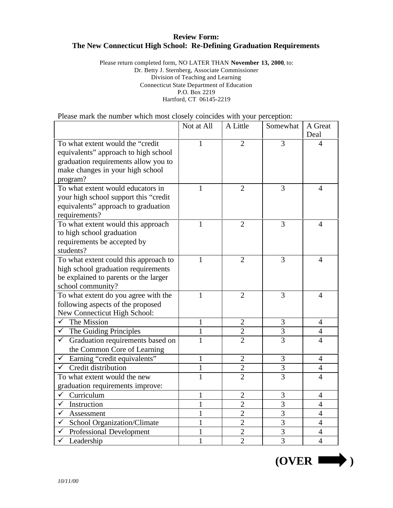#### **Review Form: The New Connecticut High School: Re-Defining Graduation Requirements**

Please return completed form, NO LATER THAN **November 13, 2000**, to: Dr. Betty J. Sternberg, Associate Commissioner Division of Teaching and Learning Connecticut State Department of Education P.O. Box 2219 Hartford, CT 06145-2219

|                                                                                                                                                                   | Not at All   | A Little       | Somewhat       | A Great<br>Deal |
|-------------------------------------------------------------------------------------------------------------------------------------------------------------------|--------------|----------------|----------------|-----------------|
| To what extent would the "credit"<br>equivalents" approach to high school<br>graduation requirements allow you to<br>make changes in your high school<br>program? | 1            | $\overline{2}$ | 3              | 4               |
| To what extent would educators in<br>your high school support this "credit<br>equivalents" approach to graduation<br>requirements?                                | 1            | $\overline{2}$ | 3              | 4               |
| To what extent would this approach<br>to high school graduation<br>requirements be accepted by<br>students?                                                       | 1            | $\overline{2}$ | 3              | 4               |
| To what extent could this approach to<br>high school graduation requirements<br>be explained to parents or the larger<br>school community?                        | 1            | $\overline{2}$ | 3              | 4               |
| To what extent do you agree with the<br>following aspects of the proposed<br>New Connecticut High School:                                                         | $\mathbf{1}$ | $\overline{2}$ | 3              | $\overline{4}$  |
| The Mission<br>$\checkmark$                                                                                                                                       | 1            | $\overline{2}$ | 3              | 4               |
| $\checkmark$ The Guiding Principles                                                                                                                               | 1            | $\overline{2}$ | 3              | $\overline{4}$  |
| $\checkmark$<br>Graduation requirements based on<br>the Common Core of Learning                                                                                   | 1            | $\overline{2}$ | 3              | $\overline{4}$  |
| $\checkmark$ Earning "credit equivalents"                                                                                                                         | $\mathbf{1}$ | $\overline{2}$ | 3              | $\overline{4}$  |
| $\checkmark$ Credit distribution                                                                                                                                  | $\mathbf{1}$ | $\overline{2}$ | 3              | $\overline{4}$  |
| To what extent would the new<br>graduation requirements improve:                                                                                                  | 1            | $\overline{2}$ | 3              | $\overline{4}$  |
| ✓<br>Curriculum                                                                                                                                                   | 1            | $\overline{2}$ | 3              | 4               |
| Instruction<br>✓                                                                                                                                                  | 1            | $\overline{2}$ | 3              | $\overline{4}$  |
| $\checkmark$<br>Assessment                                                                                                                                        | 1            | $\overline{2}$ | 3              | $\overline{4}$  |
| $\checkmark$ School Organization/Climate                                                                                                                          | 1            | $\overline{2}$ | 3              | $\overline{4}$  |
| Professional Development                                                                                                                                          | 1            | $\overline{2}$ | 3              | 4               |
| $\checkmark$ Leadership                                                                                                                                           | $\mathbf{1}$ | $\overline{2}$ | $\overline{3}$ | $\overline{4}$  |

Please mark the number which most closely coincides with your perception:

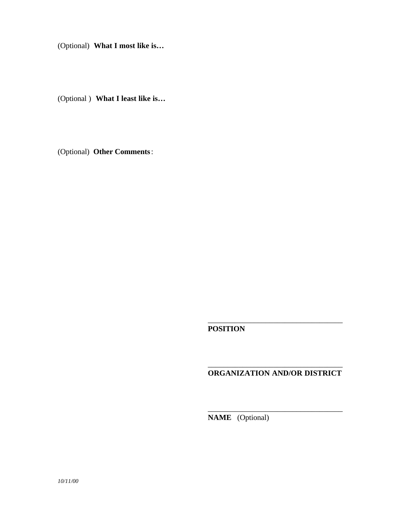(Optional) **What I most like is…** 

(Optional ) **What I least like is…** 

(Optional) **Other Comments** :

**POSITION** 

#### \_\_\_\_\_\_\_\_\_\_\_\_\_\_\_\_\_\_\_\_\_\_\_\_\_\_\_\_\_\_\_\_\_\_\_ **ORGANIZATION AND/OR DISTRICT**

\_\_\_\_\_\_\_\_\_\_\_\_\_\_\_\_\_\_\_\_\_\_\_\_\_\_\_\_\_\_\_\_\_\_\_

\_\_\_\_\_\_\_\_\_\_\_\_\_\_\_\_\_\_\_\_\_\_\_\_\_\_\_\_\_\_\_\_\_\_\_

**NAME** (Optional)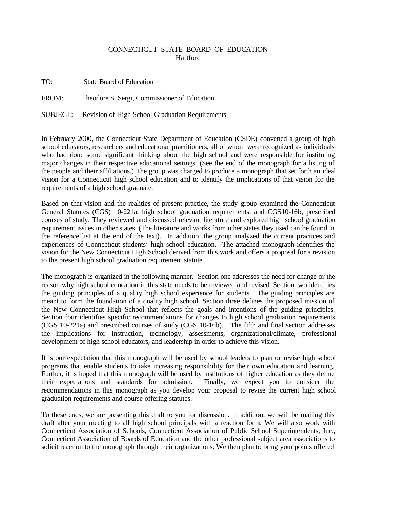#### CONNECTICUT STATE BOARD OF EDUCATION Hartford

TO: State Board of Education

FROM: Theodore S. Sergi, Commissioner of Education

SUBJECT: Revision of High School Graduation Requirements

In February 2000, the Connecticut State Department of Education (CSDE) convened a group of high school educators, researchers and educational practitioners, all of whom were recognized as individuals who had done some significant thinking about the high school and were responsible for instituting major changes in their respective educational settings. (See the end of the monograph for a listing of the people and their affiliations.) The group was charged to produce a monograph that set forth an ideal vision for a Connecticut high school education and to identify the implications of that vision for the requirements of a high school graduate.

Based on that vision and the realities of present practice, the study group examined the Connecticut General Statutes (CGS) 10-221a, high school graduation requirements, and CGS10-16b, prescribed courses of study. They reviewed and discussed relevant literature and explored high school graduation requirement issues in other states. (The literature and works from other states they used can be found in the reference list at the end of the text). In addition, the group analyzed the current practices and experiences of Connecticut students' high school education. The attached monograph identifies the vision for the New Connecticut High School derived from this work and offers a proposal for a revision to the present high school graduation requirement statute.

The monograph is organized in the following manner. Section one addresses the need for change or the reason why high school education in this state needs to be reviewed and revised. Section two identifies the guiding principles of a quality high school experience for students. The guiding principles are meant to form the foundation of a quality high school. Section three defines the proposed mission of the New Connecticut High School that reflects the goals and intentions of the guiding principles. Section four identifies specific recommendations for changes to high school graduation requirements (CGS 10-221a) and prescribed courses of study (CGS 10-16b). The fifth and final section addresses the implications for instruction, technology, assessments, organizational/climate, professional development of high school educators, and leadership in order to achieve this vision.

It is our expectation that this monograph will be used by school leaders to plan or revise high school programs that enable students to take increasing responsibility for their own education and learning. Further, it is hoped that this monograph will be used by institutions of higher education as they define their expectations and standards for admission. Finally, we expect you to consider the recommendations in this monograph as you develop your proposal to revise the current high school graduation requirements and course offering statutes.

To these ends, we are presenting this draft to you for discussion. In addition, we will be mailing this draft after your meeting to all high school principals with a reaction form. We will also work with Connecticut Association of Schools, Connecticut Association of Public School Superintendents, Inc., Connecticut Association of Boards of Education and the other professional subject area associations to solicit reaction to the monograph through their organizations. We then plan to bring your points offered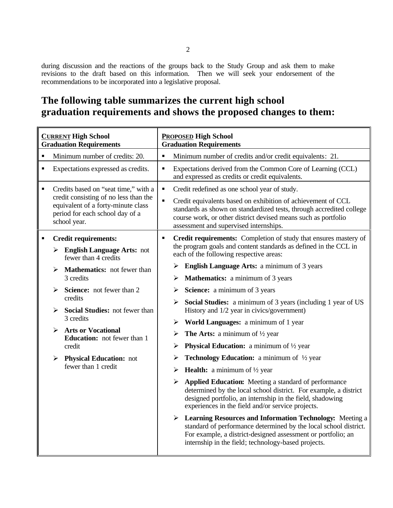during discussion and the reactions of the groups back to the Study Group and ask them to make revisions to the draft based on this information. Then we will seek your endorsement of the recommendations to be incorporated into a legislative proposal.

# **The following table summarizes the current high school graduation requirements and shows the proposed changes to them:**

| <b>CURRENT High School</b><br><b>Graduation Requirements</b> |                                                                                                                                                                        | <b>PROPOSED High School</b><br><b>Graduation Requirements</b>                                                                                                                                                                                                                                                            |  |  |
|--------------------------------------------------------------|------------------------------------------------------------------------------------------------------------------------------------------------------------------------|--------------------------------------------------------------------------------------------------------------------------------------------------------------------------------------------------------------------------------------------------------------------------------------------------------------------------|--|--|
| $\blacksquare$                                               | Minimum number of credits: 20.                                                                                                                                         | Minimum number of credits and/or credit equivalents: 21.<br>٠                                                                                                                                                                                                                                                            |  |  |
| $\blacksquare$                                               | Expectations expressed as credits.                                                                                                                                     | Expectations derived from the Common Core of Learning (CCL)<br>٠<br>and expressed as credits or credit equivalents.                                                                                                                                                                                                      |  |  |
| ٠                                                            | Credits based on "seat time," with a<br>credit consisting of no less than the<br>equivalent of a forty-minute class<br>period for each school day of a<br>school year. | Credit redefined as one school year of study.<br>٠<br>$\blacksquare$<br>Credit equivalents based on exhibition of achievement of CCL<br>standards as shown on standardized tests, through accredited college<br>course work, or other district devised means such as portfolio<br>assessment and supervised internships. |  |  |
| п                                                            | <b>Credit requirements:</b><br>$\triangleright$ English Language Arts: not                                                                                             | Credit requirements: Completion of study that ensures mastery of<br>٠<br>the program goals and content standards as defined in the CCL in                                                                                                                                                                                |  |  |
|                                                              | fewer than 4 credits<br>Mathematics: not fewer than<br>≻<br>3 credits                                                                                                  | each of the following respective areas:<br><b>English Language Arts:</b> a minimum of 3 years<br>➤<br><b>Mathematics:</b> a minimum of 3 years<br>$\blacktriangleright$                                                                                                                                                  |  |  |
|                                                              | Science: not fewer than 2<br>➤<br>credits                                                                                                                              | <b>Science:</b> a minimum of 3 years<br>➤                                                                                                                                                                                                                                                                                |  |  |
|                                                              | Social Studies: not fewer than<br>3 credits                                                                                                                            | $\triangleright$ Social Studies: a minimum of 3 years (including 1 year of US<br>History and 1/2 year in civics/government)                                                                                                                                                                                              |  |  |
|                                                              | $\blacktriangleright$<br><b>Arts or Vocational</b>                                                                                                                     | <b>World Languages:</b> a minimum of 1 year<br>➤                                                                                                                                                                                                                                                                         |  |  |
|                                                              | <b>Education:</b> not fewer than 1                                                                                                                                     | <b>The Arts:</b> a minimum of $\frac{1}{2}$ year<br>➤                                                                                                                                                                                                                                                                    |  |  |
|                                                              | credit                                                                                                                                                                 | <b>Physical Education:</b> a minimum of $\frac{1}{2}$ year<br>➤                                                                                                                                                                                                                                                          |  |  |
|                                                              | <b>Physical Education:</b> not<br>➤<br>fewer than 1 credit                                                                                                             | <b>Technology Education:</b> a minimum of $\frac{1}{2}$ year<br>➤                                                                                                                                                                                                                                                        |  |  |
|                                                              |                                                                                                                                                                        | <b>Health:</b> a minimum of $\frac{1}{2}$ year<br>➤                                                                                                                                                                                                                                                                      |  |  |
|                                                              |                                                                                                                                                                        | Applied Education: Meeting a standard of performance<br>➤<br>determined by the local school district. For example, a district<br>designed portfolio, an internship in the field, shadowing<br>experiences in the field and/or service projects.                                                                          |  |  |
|                                                              |                                                                                                                                                                        | > Learning Resources and Information Technology: Meeting a<br>standard of performance determined by the local school district.<br>For example, a district-designed assessment or portfolio; an<br>internship in the field; technology-based projects.                                                                    |  |  |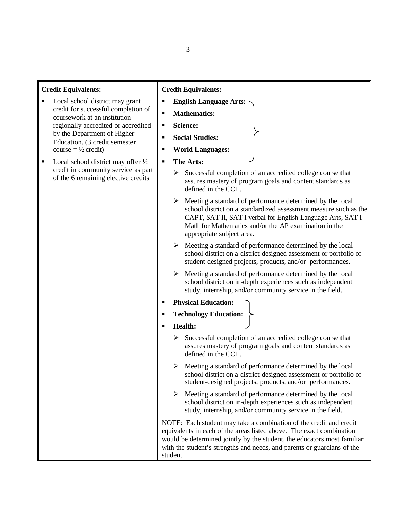| <b>Credit Equivalents:</b>                                                                                                                                                                                                                                                                            | <b>Credit Equivalents:</b>                                                                                                                                                                                                                                                                                   |  |
|-------------------------------------------------------------------------------------------------------------------------------------------------------------------------------------------------------------------------------------------------------------------------------------------------------|--------------------------------------------------------------------------------------------------------------------------------------------------------------------------------------------------------------------------------------------------------------------------------------------------------------|--|
| Local school district may grant<br>credit for successful completion of<br>coursework at an institution<br>regionally accredited or accredited<br>by the Department of Higher<br>Education. (3 credit semester<br>$course = \frac{1}{2} credit)$<br>Local school district may offer $\frac{1}{2}$<br>٠ | <b>English Language Arts:</b><br>п<br><b>Mathematics:</b><br>٠<br><b>Science:</b><br>٠<br><b>Social Studies:</b><br>٠<br><b>World Languages:</b><br>٠<br><b>The Arts:</b><br>٠                                                                                                                               |  |
| credit in community service as part<br>of the 6 remaining elective credits                                                                                                                                                                                                                            | Successful completion of an accredited college course that<br>≻<br>assures mastery of program goals and content standards as<br>defined in the CCL.<br>Meeting a standard of performance determined by the local                                                                                             |  |
|                                                                                                                                                                                                                                                                                                       | school district on a standardized assessment measure such as the<br>CAPT, SAT II, SAT I verbal for English Language Arts, SAT I<br>Math for Mathematics and/or the AP examination in the<br>appropriate subject area.                                                                                        |  |
|                                                                                                                                                                                                                                                                                                       | Meeting a standard of performance determined by the local<br>≻<br>school district on a district-designed assessment or portfolio of<br>student-designed projects, products, and/or performances.                                                                                                             |  |
|                                                                                                                                                                                                                                                                                                       | Meeting a standard of performance determined by the local<br>➤<br>school district on in-depth experiences such as independent<br>study, internship, and/or community service in the field.                                                                                                                   |  |
|                                                                                                                                                                                                                                                                                                       | <b>Physical Education:</b><br>٠                                                                                                                                                                                                                                                                              |  |
|                                                                                                                                                                                                                                                                                                       | <b>Technology Education:</b><br>٠                                                                                                                                                                                                                                                                            |  |
|                                                                                                                                                                                                                                                                                                       | Health:<br>٠                                                                                                                                                                                                                                                                                                 |  |
|                                                                                                                                                                                                                                                                                                       | Successful completion of an accredited college course that<br>➤<br>assures mastery of program goals and content standards as<br>defined in the CCL.                                                                                                                                                          |  |
|                                                                                                                                                                                                                                                                                                       | Meeting a standard of performance determined by the local<br>➤<br>school district on a district-designed assessment or portfolio of<br>student-designed projects, products, and/or performances.                                                                                                             |  |
|                                                                                                                                                                                                                                                                                                       | Meeting a standard of performance determined by the local<br>➤<br>school district on in-depth experiences such as independent<br>study, internship, and/or community service in the field.                                                                                                                   |  |
|                                                                                                                                                                                                                                                                                                       | NOTE: Each student may take a combination of the credit and credit<br>equivalents in each of the areas listed above. The exact combination<br>would be determined jointly by the student, the educators most familiar<br>with the student's strengths and needs, and parents or guardians of the<br>student. |  |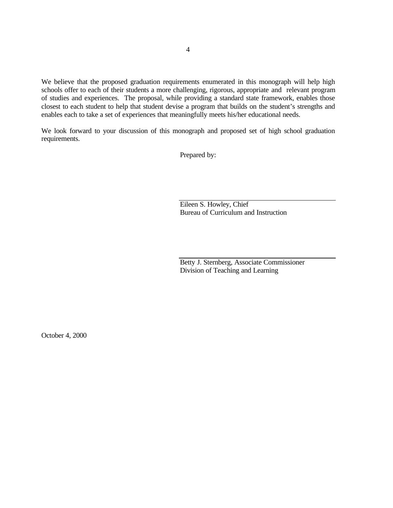We believe that the proposed graduation requirements enumerated in this monograph will help high schools offer to each of their students a more challenging, rigorous, appropriate and relevant program of studies and experiences. The proposal, while providing a standard state framework, enables those closest to each student to help that student devise a program that builds on the student's strengths and enables each to take a set of experiences that meaningfully meets his/her educational needs.

We look forward to your discussion of this monograph and proposed set of high school graduation requirements.

Prepared by:

Eileen S. Howley, Chief Bureau of Curriculum and Instruction

Betty J. Sternberg, Associate Commissioner Division of Teaching and Learning

October 4, 2000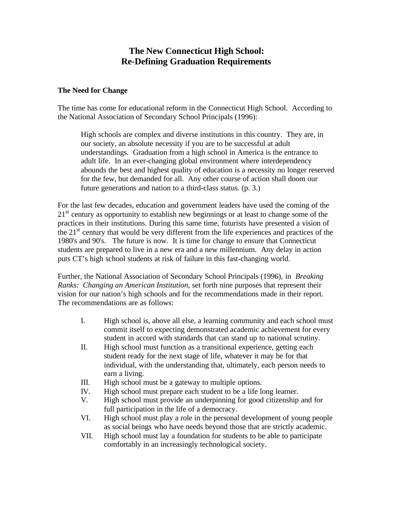# **The New Connecticut High School: Re-Defining Graduation Requirements**

## **The Need for Change**

The time has come for educational reform in the Connecticut High School. According to the National Association of Secondary School Principals (1996):

High schools are complex and diverse institutions in this country. They are, in our society, an absolute necessity if you are to be successful at adult understandings. Graduation from a high school in America is the entrance to adult life. In an ever-changing global environment where interdependency abounds the best and highest quality of education is a necessity no longer reserved for the few, but demanded for all. Any other course of action shall doom our future generations and nation to a third-class status. (p. 3.)

For the last few decades, education and government leaders have used the coming of the  $21<sup>st</sup>$  century as opportunity to establish new beginnings or at least to change some of the practices in their institutions. During this same time, futurists have presented a vision of the  $21<sup>st</sup>$  century that would be very different from the life experiences and practices of the 1980's and 90's. The future is now. It is time for change to ensure that Connecticut students are prepared to live in a new era and a new millennium. Any delay in action puts CT's high school students at risk of failure in this fast-changing world.

Further, the National Association of Secondary School Principals (1996), in *Breaking Ranks: Changing an American Institution*, set forth nine purposes that represent their vision for our nation's high schools and for the recommendations made in their report. The recommendations are as follows:

- I. High school is, above all else, a learning community and each school must commit itself to expecting demonstrated academic achievement for every student in accord with standards that can stand up to national scrutiny.
- II. High school must function as a transitional experience, getting each student ready for the next stage of life, whatever it may be for that individual, with the understanding that, ultimately, each person needs to earn a living.
- III. High school must be a gateway to multiple options.
- IV. High school must prepare each student to be a life long learner.
- V. High school must provide an underpinning for good citizenship and for full participation in the life of a democracy.
- VI. High school must play a role in the personal development of young people as social beings who have needs beyond those that are strictly academic.
- VII. High school must lay a foundation for students to be able to participate comfortably in an increasingly technological society.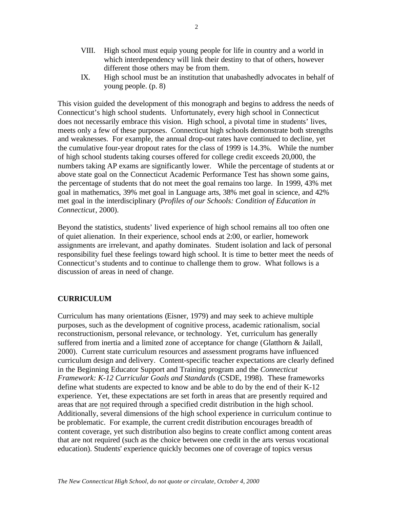- VIII. High school must equip young people for life in country and a world in which interdependency will link their destiny to that of others, however different those others may be from them.
- IX. High school must be an institution that unabashedly advocates in behalf of young people. (p. 8)

This vision guided the development of this monograph and begins to address the needs of Connecticut's high school students. Unfortunately, every high school in Connecticut does not necessarily embrace this vision. High school, a pivotal time in students' lives, meets only a few of these purposes. Connecticut high schools demonstrate both strengths and weaknesses. For example, the annual drop-out rates have continued to decline, yet the cumulative four-year dropout rates for the class of 1999 is 14.3%. While the number of high school students taking courses offered for college credit exceeds 20,000, the numbers taking AP exams are significantly lower. While the percentage of students at or above state goal on the Connecticut Academic Performance Test has shown some gains, the percentage of students that do not meet the goal remains too large. In 1999, 43% met goal in mathematics, 39% met goal in Language arts, 38% met goal in science, and 42% met goal in the interdisciplinary (*Profiles of our Schools: Condition of Education in Connecticut*, 2000).

Beyond the statistics, students' lived experience of high school remains all too often one of quiet alienation. In their experience, school ends at 2:00, or earlier, homework assignments are irrelevant, and apathy dominates. Student isolation and lack of personal responsibility fuel these feelings toward high school. It is time to better meet the needs of Connecticut's students and to continue to challenge them to grow. What follows is a discussion of areas in need of change.

# **CURRICULUM**

Curriculum has many orientations (Eisner, 1979) and may seek to achieve multiple purposes, such as the development of cognitive process, academic rationalism, social reconstructionism, personal relevance, or technology. Yet, curriculum has generally suffered from inertia and a limited zone of acceptance for change (Glatthorn & Jailall, 2000). Current state curriculum resources and assessment programs have influenced curriculum design and delivery. Content-specific teacher expectations are clearly defined in the Beginning Educator Support and Training program and the *Connecticut Framework: K-12 Curricular Goals and Standards* (CSDE, 1998). These frameworks define what students are expected to know and be able to do by the end of their K-12 experience. Yet, these expectations are set forth in areas that are presently required and areas that are not required through a specified credit distribution in the high school. Additionally, several dimensions of the high school experience in curriculum continue to be problematic. For example, the current credit distribution encourages breadth of content coverage, yet such distribution also begins to create conflict among content areas that are not required (such as the choice between one credit in the arts versus vocational education). Students' experience quickly becomes one of coverage of topics versus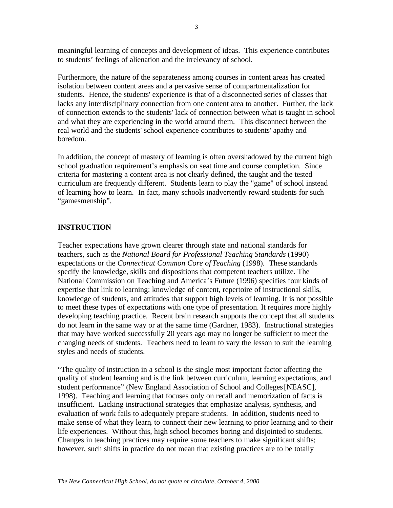meaningful learning of concepts and development of ideas. This experience contributes to students' feelings of alienation and the irrelevancy of school.

Furthermore, the nature of the separateness among courses in content areas has created isolation between content areas and a pervasive sense of compartmentalization for students. Hence, the students' experience is that of a disconnected series of classes that lacks any interdisciplinary connection from one content area to another. Further, the lack of connection extends to the students' lack of connection between what is taught in school and what they are experiencing in the world around them. This disconnect between the real world and the students' school experience contributes to students' apathy and boredom.

In addition, the concept of mastery of learning is often overshadowed by the current high school graduation requirement's emphasis on seat time and course completion. Since criteria for mastering a content area is not clearly defined, the taught and the tested curriculum are frequently different. Students learn to play the "game" of school instead of learning how to learn. In fact, many schools inadvertently reward students for such "gamesmenship".

# **INSTRUCTION**

Teacher expectations have grown clearer through state and national standards for teachers, such as the *National Board for Professional Teaching Standards* (1990) expectations or the *Connecticut Common Core of Teaching* (1998). These standards specify the knowledge, skills and dispositions that competent teachers utilize. The National Commission on Teaching and America's Future (1996) specifies four kinds of expertise that link to learning: knowledge of content, repertoire of instructional skills, knowledge of students, and attitudes that support high levels of learning. It is not possible to meet these types of expectations with one type of presentation. It requires more highly developing teaching practice. Recent brain research supports the concept that all students do not learn in the same way or at the same time (Gardner, 1983). Instructional strategies that may have worked successfully 20 years ago may no longer be sufficient to meet the changing needs of students. Teachers need to learn to vary the lesson to suit the learning styles and needs of students.

"The quality of instruction in a school is the single most important factor affecting the quality of student learning and is the link between curriculum, learning expectations, and student performance" (New England Association of School and Colleges[NEASC], 1998). Teaching and learning that focuses only on recall and memorization of facts is insufficient. Lacking instructional strategies that emphasize analysis, synthesis, and evaluation of work fails to adequately prepare students. In addition, students need to make sense of what they learn, to connect their new learning to prior learning and to their life experiences. Without this, high school becomes boring and disjointed to students. Changes in teaching practices may require some teachers to make significant shifts; however, such shifts in practice do not mean that existing practices are to be totally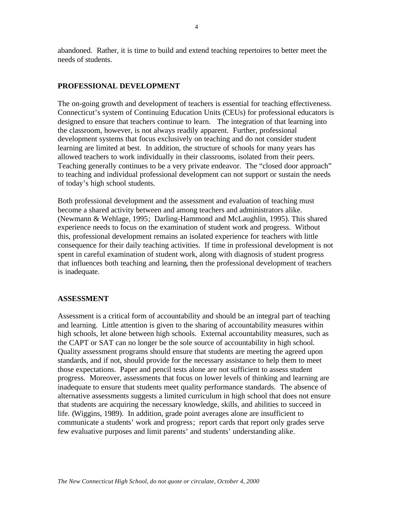abandoned. Rather, it is time to build and extend teaching repertoires to better meet the needs of students.

## **PROFESSIONAL DEVELOPMENT**

The on-going growth and development of teachers is essential for teaching effectiveness. Connecticut's system of Continuing Education Units (CEUs) for professional educators is designed to ensure that teachers continue to learn. The integration of that learning into the classroom, however, is not always readily apparent. Further, professional development systems that focus exclusively on teaching and do not consider student learning are limited at best. In addition, the structure of schools for many years has allowed teachers to work individually in their classrooms, isolated from their peers. Teaching generally continues to be a very private endeavor. The "closed door approach" to teaching and individual professional development can not support or sustain the needs of today's high school students.

Both professional development and the assessment and evaluation of teaching must become a shared activity between and among teachers and administrators alike. (Newmann & Wehlage, 1995; Darling-Hammond and McLaughlin, 1995). This shared experience needs to focus on the examination of student work and progress. Without this, professional development remains an isolated experience for teachers with little consequence for their daily teaching activities. If time in professional development is not spent in careful examination of student work, along with diagnosis of student progress that influences both teaching and learning, then the professional development of teachers is inadequate.

#### **ASSESSMENT**

Assessment is a critical form of accountability and should be an integral part of teaching and learning. Little attention is given to the sharing of accountability measures within high schools, let alone between high schools. External accountability measures, such as the CAPT or SAT can no longer be the sole source of accountability in high school. Quality assessment programs should ensure that students are meeting the agreed upon standards, and if not, should provide for the necessary assistance to help them to meet those expectations. Paper and pencil tests alone are not sufficient to assess student progress. Moreover, assessments that focus on lower levels of thinking and learning are inadequate to ensure that students meet quality performance standards. The absence of alternative assessments suggests a limited curriculum in high school that does not ensure that students are acquiring the necessary knowledge, skills, and abilities to succeed in life. (Wiggins, 1989). In addition, grade point averages alone are insufficient to communicate a students' work and progress; report cards that report only grades serve few evaluative purposes and limit parents' and students' understanding alike.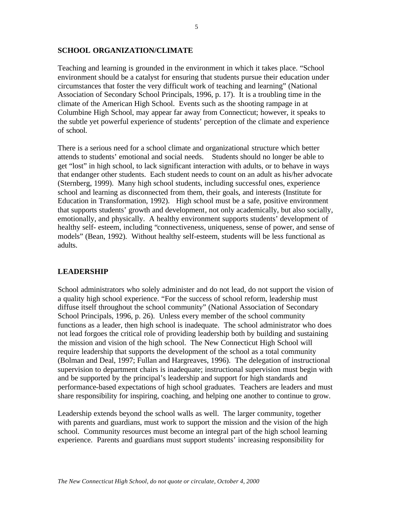#### **SCHOOL ORGANIZATION/CLIMATE**

Teaching and learning is grounded in the environment in which it takes place. "School environment should be a catalyst for ensuring that students pursue their education under circumstances that foster the very difficult work of teaching and learning" (National Association of Secondary School Principals, 1996, p. 17). It is a troubling time in the climate of the American High School. Events such as the shooting rampage in at Columbine High School, may appear far away from Connecticut; however, it speaks to the subtle yet powerful experience of students' perception of the climate and experience of school.

There is a serious need for a school climate and organizational structure which better attends to students' emotional and social needs. Students should no longer be able to get "lost" in high school, to lack significant interaction with adults, or to behave in ways that endanger other students. Each student needs to count on an adult as his/her advocate (Sternberg, 1999). Many high school students, including successful ones, experience school and learning as disconnected from them, their goals, and interests (Institute for Education in Transformation, 1992). High school must be a safe, positive environment that supports students' growth and development, not only academically, but also socially, emotionally, and physically. A healthy environment supports students' development of healthy self- esteem, including "connectiveness, uniqueness, sense of power, and sense of models" (Bean, 1992). Without healthy self-esteem, students will be less functional as adults.

# **LEADERSHIP**

School administrators who solely administer and do not lead, do not support the vision of a quality high school experience. "For the success of school reform, leadership must diffuse itself throughout the school community" (National Association of Secondary School Principals, 1996, p. 26). Unless every member of the school community functions as a leader, then high school is inadequate. The school administrator who does not lead forgoes the critical role of providing leadership both by building and sustaining the mission and vision of the high school. The New Connecticut High School will require leadership that supports the development of the school as a total community (Bolman and Deal, 1997; Fullan and Hargreaves, 1996). The delegation of instructional supervision to department chairs is inadequate; instructional supervision must begin with and be supported by the principal's leadership and support for high standards and performance-based expectations of high school graduates. Teachers are leaders and must share responsibility for inspiring, coaching, and helping one another to continue to grow.

Leadership extends beyond the school walls as well. The larger community, together with parents and guardians, must work to support the mission and the vision of the high school. Community resources must become an integral part of the high school learning experience. Parents and guardians must support students' increasing responsibility for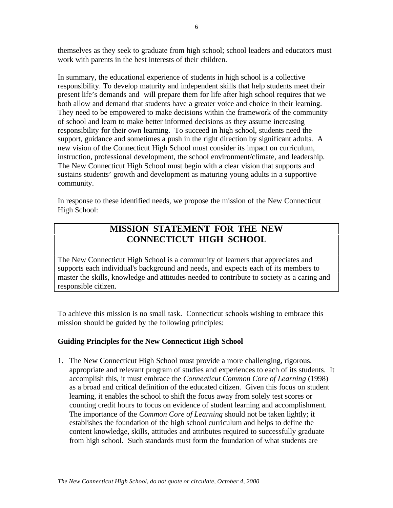themselves as they seek to graduate from high school; school leaders and educators must work with parents in the best interests of their children.

In summary, the educational experience of students in high school is a collective responsibility. To develop maturity and independent skills that help students meet their present life's demands and will prepare them for life after high school requires that we both allow and demand that students have a greater voice and choice in their learning. They need to be empowered to make decisions within the framework of the community of school and learn to make better informed decisions as they assume increasing responsibility for their own learning. To succeed in high school, students need the support, guidance and sometimes a push in the right direction by significant adults. A new vision of the Connecticut High School must consider its impact on curriculum, instruction, professional development, the school environment/climate, and leadership. The New Connecticut High School must begin with a clear vision that supports and sustains students' growth and development as maturing young adults in a supportive community.

In response to these identified needs, we propose the mission of the New Connecticut High School:

# **MISSION STATEMENT FOR THE NEW CONNECTICUT HIGH SCHOOL**

The New Connecticut High School is a community of learners that appreciates and supports each individual's background and needs, and expects each of its members to master the skills, knowledge and attitudes needed to contribute to society as a caring and responsible citizen.

To achieve this mission is no small task. Connecticut schools wishing to embrace this mission should be guided by the following principles:

# **Guiding Principles for the New Connecticut High School**

1. The New Connecticut High School must provide a more challenging, rigorous, appropriate and relevant program of studies and experiences to each of its students. It accomplish this, it must embrace the *Connecticut Common Core of Learning* (1998) as a broad and critical definition of the educated citizen. Given this focus on student learning, it enables the school to shift the focus away from solely test scores or counting credit hours to focus on evidence of student learning and accomplishment. The importance of the *Common Core of Learning* should not be taken lightly; it establishes the foundation of the high school curriculum and helps to define the content knowledge, skills, attitudes and attributes required to successfully graduate from high school. Such standards must form the foundation of what students are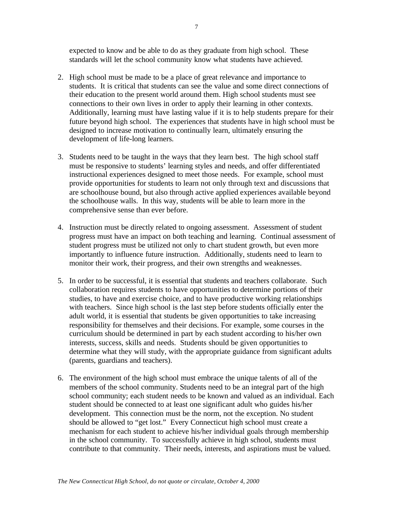expected to know and be able to do as they graduate from high school. These standards will let the school community know what students have achieved.

- 2. High school must be made to be a place of great relevance and importance to students. It is critical that students can see the value and some direct connections of their education to the present world around them. High school students must see connections to their own lives in order to apply their learning in other contexts. Additionally, learning must have lasting value if it is to help students prepare for their future beyond high school. The experiences that students have in high school must be designed to increase motivation to continually learn, ultimately ensuring the development of life-long learners.
- 3. Students need to be taught in the ways that they learn best. The high school staff must be responsive to students' learning styles and needs, and offer differentiated instructional experiences designed to meet those needs. For example, school must provide opportunities for students to learn not only through text and discussions that are schoolhouse bound, but also through active applied experiences available beyond the schoolhouse walls. In this way, students will be able to learn more in the comprehensive sense than ever before.
- 4. Instruction must be directly related to ongoing assessment. Assessment of student progress must have an impact on both teaching and learning. Continual assessment of student progress must be utilized not only to chart student growth, but even more importantly to influence future instruction. Additionally, students need to learn to monitor their work, their progress, and their own strengths and weaknesses.
- 5. In order to be successful, it is essential that students and teachers collaborate. Such collaboration requires students to have opportunities to determine portions of their studies, to have and exercise choice, and to have productive working relationships with teachers. Since high school is the last step before students officially enter the adult world, it is essential that students be given opportunities to take increasing responsibility for themselves and their decisions. For example, some courses in the curriculum should be determined in part by each student according to his/her own interests, success, skills and needs. Students should be given opportunities to determine what they will study, with the appropriate guidance from significant adults (parents, guardians and teachers).
- 6. The environment of the high school must embrace the unique talents of all of the members of the school community. Students need to be an integral part of the high school community; each student needs to be known and valued as an individual. Each student should be connected to at least one significant adult who guides his/her development. This connection must be the norm, not the exception. No student should be allowed to "get lost." Every Connecticut high school must create a mechanism for each student to achieve his/her individual goals through membership in the school community. To successfully achieve in high school, students must contribute to that community. Their needs, interests, and aspirations must be valued.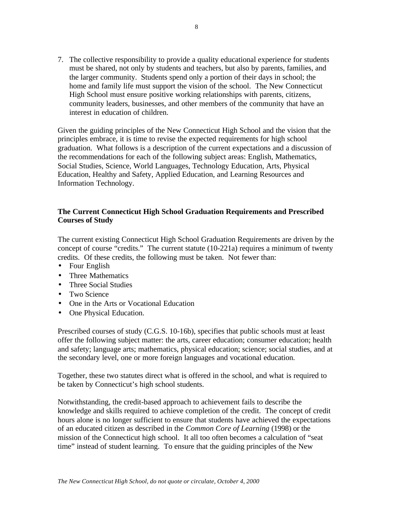7. The collective responsibility to provide a quality educational experience for students must be shared, not only by students and teachers, but also by parents, families, and the larger community. Students spend only a portion of their days in school; the home and family life must support the vision of the school. The New Connecticut High School must ensure positive working relationships with parents, citizens, community leaders, businesses, and other members of the community that have an interest in education of children.

Given the guiding principles of the New Connecticut High School and the vision that the principles embrace, it is time to revise the expected requirements for high school graduation. What follows is a description of the current expectations and a discussion of the recommendations for each of the following subject areas: English, Mathematics, Social Studies, Science, World Languages, Technology Education, Arts, Physical Education, Healthy and Safety, Applied Education, and Learning Resources and Information Technology.

#### **The Current Connecticut High School Graduation Requirements and Prescribed Courses of Study**

The current existing Connecticut High School Graduation Requirements are driven by the concept of course "credits." The current statute (10-221a) requires a minimum of twenty credits. Of these credits, the following must be taken. Not fewer than:

- Four English
- Three Mathematics
- Three Social Studies
- Two Science
- One in the Arts or Vocational Education
- One Physical Education.

Prescribed courses of study (C.G.S. 10-16b), specifies that public schools must at least offer the following subject matter: the arts, career education; consumer education; health and safety; language arts; mathematics, physical education; science; social studies, and at the secondary level, one or more foreign languages and vocational education.

Together, these two statutes direct what is offered in the school, and what is required to be taken by Connecticut's high school students.

Notwithstanding, the credit-based approach to achievement fails to describe the knowledge and skills required to achieve completion of the credit. The concept of credit hours alone is no longer sufficient to ensure that students have achieved the expectations of an educated citizen as described in the *Common Core of Learning* (1998) or the mission of the Connecticut high school. It all too often becomes a calculation of "seat time" instead of student learning. To ensure that the guiding principles of the New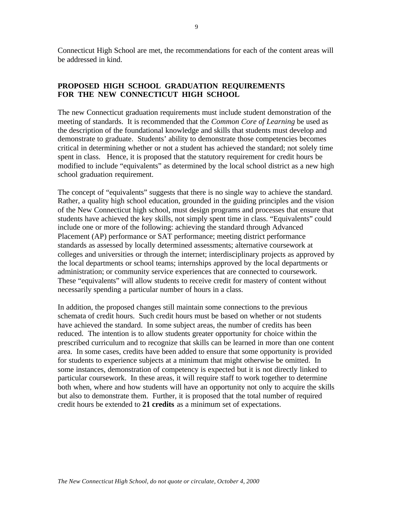Connecticut High School are met, the recommendations for each of the content areas will be addressed in kind.

## **PROPOSED HIGH SCHOOL GRADUATION REQUIREMENTS FOR THE NEW CONNECTICUT HIGH SCHOOL**

The new Connecticut graduation requirements must include student demonstration of the meeting of standards. It is recommended that the *Common Core of Learning* be used as the description of the foundational knowledge and skills that students must develop and demonstrate to graduate. Students' ability to demonstrate those competencies becomes critical in determining whether or not a student has achieved the standard; not solely time spent in class. Hence, it is proposed that the statutory requirement for credit hours be modified to include "equivalents" as determined by the local school district as a new high school graduation requirement.

The concept of "equivalents" suggests that there is no single way to achieve the standard. Rather, a quality high school education, grounded in the guiding principles and the vision of the New Connecticut high school, must design programs and processes that ensure that students have achieved the key skills, not simply spent time in class. "Equivalents" could include one or more of the following: achieving the standard through Advanced Placement (AP) performance or SAT performance; meeting district performance standards as assessed by locally determined assessments; alternative coursework at colleges and universities or through the internet; interdisciplinary projects as approved by the local departments or school teams; internships approved by the local departments or administration; or community service experiences that are connected to coursework. These "equivalents" will allow students to receive credit for mastery of content without necessarily spending a particular number of hours in a class.

In addition, the proposed changes still maintain some connections to the previous schemata of credit hours. Such credit hours must be based on whether or not students have achieved the standard. In some subject areas, the number of credits has been reduced. The intention is to allow students greater opportunity for choice within the prescribed curriculum and to recognize that skills can be learned in more than one content area. In some cases, credits have been added to ensure that some opportunity is provided for students to experience subjects at a minimum that might otherwise be omitted. In some instances, demonstration of competency is expected but it is not directly linked to particular coursework. In these areas, it will require staff to work together to determine both when, where and how students will have an opportunity not only to acquire the skills but also to demonstrate them. Further, it is proposed that the total number of required credit hours be extended to **21 credits** as a minimum set of expectations.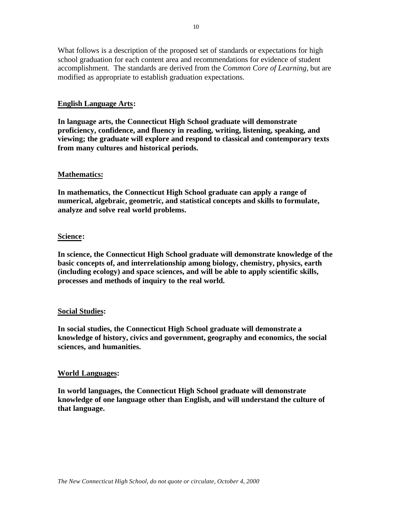What follows is a description of the proposed set of standards or expectations for high school graduation for each content area and recommendations for evidence of student accomplishment. The standards are derived from the *Common Core of Learning*, but are modified as appropriate to establish graduation expectations.

## **English Language Arts:**

**In language arts, the Connecticut High School graduate will demonstrate proficiency, confidence, and fluency in reading, writing, listening, speaking, and viewing; the graduate will explore and respond to classical and contemporary texts from many cultures and historical periods.** 

#### **Mathematics:**

**In mathematics, the Connecticut High School graduate can apply a range of numerical, algebraic, geometric, and statistical concepts and skills to formulate, analyze and solve real world problems.** 

#### **Science:**

**In science, the Connecticut High School graduate will demonstrate knowledge of the basic concepts of, and interrelationship among biology, chemistry, physics, earth (including ecology) and space sciences, and will be able to apply scientific skills, processes and methods of inquiry to the real world.** 

#### **Social Studies:**

**In social studies, the Connecticut High School graduate will demonstrate a knowledge of history, civics and government, geography and economics, the social sciences, and humanities.** 

#### **World Languages:**

**In world languages, the Connecticut High School graduate will demonstrate knowledge of one language other than English, and will understand the culture of that language.**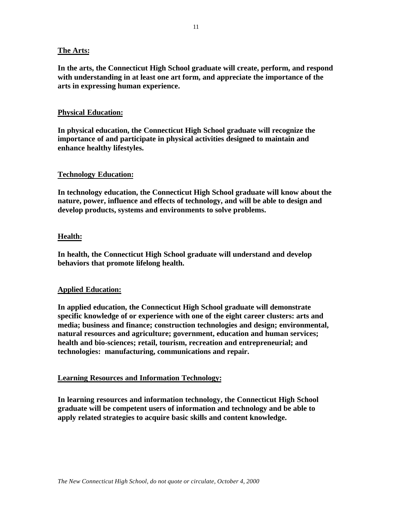#### **The Arts:**

**In the arts, the Connecticut High School graduate will create, perform, and respond with understanding in at least one art form, and appreciate the importance of the arts in expressing human experience.** 

#### **Physical Education:**

**In physical education, the Connecticut High School graduate will recognize the importance of and participate in physical activities designed to maintain and enhance healthy lifestyles.** 

#### **Technology Education:**

**In technology education, the Connecticut High School graduate will know about the nature, power, influence and effects of technology, and will be able to design and develop products, systems and environments to solve problems.** 

#### **Health:**

**In health, the Connecticut High School graduate will understand and develop behaviors that promote lifelong health.** 

#### **Applied Education:**

**In applied education, the Connecticut High School graduate will demonstrate specific knowledge of or experience with one of the eight career clusters: arts and media; business and finance; construction technologies and design; environmental, natural resources and agriculture; government, education and human services; health and bio-sciences; retail, tourism, recreation and entrepreneurial; and technologies: manufacturing, communications and repair.** 

#### **Learning Resources and Information Technology:**

**In learning resources and information technology, the Connecticut High School graduate will be competent users of information and technology and be able to apply related strategies to acquire basic skills and content knowledge.**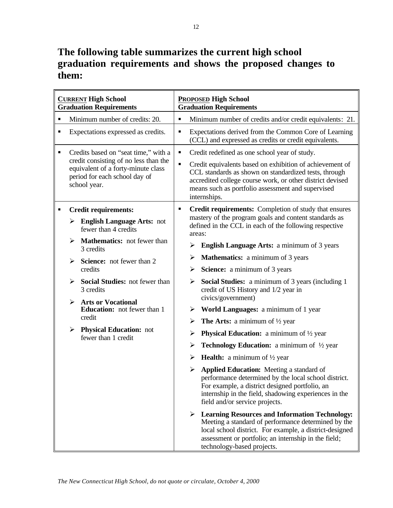# **The following table summarizes the current high school graduation requirements and shows the proposed changes to them:**

|   |                                                                                                                                                                      | <b>CURRENT High School</b><br><b>Graduation Requirements</b>              |                                                                                                                                                                                                                                                      |                                                       | <b>PROPOSED High School</b><br><b>Graduation Requirements</b>                                                                                                                                                                                                 |
|---|----------------------------------------------------------------------------------------------------------------------------------------------------------------------|---------------------------------------------------------------------------|------------------------------------------------------------------------------------------------------------------------------------------------------------------------------------------------------------------------------------------------------|-------------------------------------------------------|---------------------------------------------------------------------------------------------------------------------------------------------------------------------------------------------------------------------------------------------------------------|
|   |                                                                                                                                                                      | Minimum number of credits: 20.                                            | п                                                                                                                                                                                                                                                    |                                                       | Minimum number of credits and/or credit equivalents: 21.                                                                                                                                                                                                      |
| ٠ |                                                                                                                                                                      | Expectations expressed as credits.                                        | ٠                                                                                                                                                                                                                                                    |                                                       | Expectations derived from the Common Core of Learning<br>(CCL) and expressed as credits or credit equivalents.                                                                                                                                                |
| ٠ | Credits based on "seat time," with a<br>credit consisting of no less than the<br>equivalent of a forty-minute class<br>period for each school day of<br>school year. |                                                                           | ٠                                                                                                                                                                                                                                                    |                                                       | Credit redefined as one school year of study.                                                                                                                                                                                                                 |
|   |                                                                                                                                                                      |                                                                           | Ξ                                                                                                                                                                                                                                                    |                                                       | Credit equivalents based on exhibition of achievement of<br>CCL standards as shown on standardized tests, through<br>accredited college course work, or other district devised<br>means such as portfolio assessment and supervised<br>internships.           |
|   |                                                                                                                                                                      | <b>Credit requirements:</b>                                               | ٠                                                                                                                                                                                                                                                    | Credit requirements: Completion of study that ensures |                                                                                                                                                                                                                                                               |
|   | ➤                                                                                                                                                                    | <b>English Language Arts: not</b><br>fewer than 4 credits                 |                                                                                                                                                                                                                                                      | areas:                                                | mastery of the program goals and content standards as<br>defined in the CCL in each of the following respective                                                                                                                                               |
|   | ➤                                                                                                                                                                    | <b>Mathematics:</b> not fewer than<br>3 credits                           |                                                                                                                                                                                                                                                      | ➤                                                     | English Language Arts: a minimum of 3 years                                                                                                                                                                                                                   |
|   | ➤                                                                                                                                                                    | Science: not fewer than 2<br>credits                                      |                                                                                                                                                                                                                                                      | ➤                                                     | <b>Mathematics:</b> a minimum of 3 years                                                                                                                                                                                                                      |
|   |                                                                                                                                                                      |                                                                           |                                                                                                                                                                                                                                                      | ➤                                                     | Science: a minimum of 3 years                                                                                                                                                                                                                                 |
|   | ➤                                                                                                                                                                    | Social Studies: not fewer than<br>3 credits                               |                                                                                                                                                                                                                                                      | ➤                                                     | <b>Social Studies:</b> a minimum of 3 years (including 1)<br>credit of US History and 1/2 year in<br>civics/government)                                                                                                                                       |
|   | ➤                                                                                                                                                                    | <b>Arts or Vocational</b><br><b>Education:</b> not fewer than 1<br>credit |                                                                                                                                                                                                                                                      |                                                       | $\triangleright$ World Languages: a minimum of 1 year                                                                                                                                                                                                         |
|   |                                                                                                                                                                      |                                                                           |                                                                                                                                                                                                                                                      | ≻                                                     | <b>The Arts:</b> a minimum of $\frac{1}{2}$ year                                                                                                                                                                                                              |
|   | <b>Physical Education:</b> not<br>➤<br>➤<br>fewer than 1 credit<br>➤                                                                                                 |                                                                           |                                                                                                                                                                                                                                                      |                                                       | <b>Physical Education:</b> a minimum of $\frac{1}{2}$ year                                                                                                                                                                                                    |
|   |                                                                                                                                                                      |                                                                           |                                                                                                                                                                                                                                                      | ➤                                                     | <b>Technology Education:</b> a minimum of $\frac{1}{2}$ year                                                                                                                                                                                                  |
|   |                                                                                                                                                                      |                                                                           |                                                                                                                                                                                                                                                      | ➤                                                     | <b>Health:</b> a minimum of $\frac{1}{2}$ year                                                                                                                                                                                                                |
|   |                                                                                                                                                                      |                                                                           | <b>Applied Education:</b> Meeting a standard of<br>performance determined by the local school district.<br>For example, a district designed portfolio, an<br>internship in the field, shadowing experiences in the<br>field and/or service projects. |                                                       |                                                                                                                                                                                                                                                               |
|   |                                                                                                                                                                      |                                                                           |                                                                                                                                                                                                                                                      | ➤                                                     | <b>Learning Resources and Information Technology:</b><br>Meeting a standard of performance determined by the<br>local school district. For example, a district-designed<br>assessment or portfolio; an internship in the field;<br>technology-based projects. |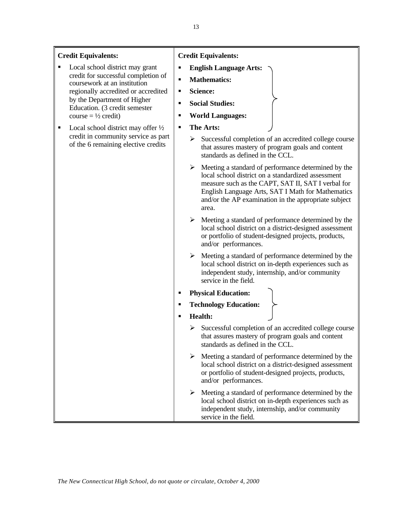| <b>Credit Equivalents:</b>                                                                                                                                                                                                                                                                                                                                                          |                                                                                                                                                                                                                                                                                                                                |  |  |
|-------------------------------------------------------------------------------------------------------------------------------------------------------------------------------------------------------------------------------------------------------------------------------------------------------------------------------------------------------------------------------------|--------------------------------------------------------------------------------------------------------------------------------------------------------------------------------------------------------------------------------------------------------------------------------------------------------------------------------|--|--|
| Local school district may grant<br>credit for successful completion of<br>coursework at an institution<br>regionally accredited or accredited<br>by the Department of Higher<br>Education. (3 credit semester<br>$course = \frac{1}{2} credit)$<br>Local school district may offer $\frac{1}{2}$<br>٠<br>credit in community service as part<br>of the 6 remaining elective credits | <b>Credit Equivalents:</b><br><b>English Language Arts:</b><br><b>Mathematics:</b><br>п<br>Science:<br>٠<br><b>Social Studies:</b><br>п<br><b>World Languages:</b><br>٠<br><b>The Arts:</b><br>п<br>Successful completion of an accredited college course<br>➤<br>that assures mastery of program goals and content            |  |  |
|                                                                                                                                                                                                                                                                                                                                                                                     | standards as defined in the CCL.<br>Meeting a standard of performance determined by the<br>≻<br>local school district on a standardized assessment<br>measure such as the CAPT, SAT II, SAT I verbal for<br>English Language Arts, SAT I Math for Mathematics<br>and/or the AP examination in the appropriate subject<br>area. |  |  |
|                                                                                                                                                                                                                                                                                                                                                                                     | $\triangleright$ Meeting a standard of performance determined by the<br>local school district on a district-designed assessment<br>or portfolio of student-designed projects, products,<br>and/or performances.                                                                                                                |  |  |
|                                                                                                                                                                                                                                                                                                                                                                                     | $\blacktriangleright$<br>Meeting a standard of performance determined by the<br>local school district on in-depth experiences such as<br>independent study, internship, and/or community<br>service in the field.                                                                                                              |  |  |
|                                                                                                                                                                                                                                                                                                                                                                                     | <b>Physical Education:</b><br>п                                                                                                                                                                                                                                                                                                |  |  |
|                                                                                                                                                                                                                                                                                                                                                                                     | <b>Technology Education:</b><br>п                                                                                                                                                                                                                                                                                              |  |  |
|                                                                                                                                                                                                                                                                                                                                                                                     | <b>Health:</b><br>п                                                                                                                                                                                                                                                                                                            |  |  |
|                                                                                                                                                                                                                                                                                                                                                                                     | Successful completion of an accredited college course<br>that assures mastery of program goals and content<br>standards as defined in the CCL.                                                                                                                                                                                 |  |  |
|                                                                                                                                                                                                                                                                                                                                                                                     | Meeting a standard of performance determined by the<br>≻<br>local school district on a district-designed assessment<br>or portfolio of student-designed projects, products,<br>and/or performances.                                                                                                                            |  |  |
|                                                                                                                                                                                                                                                                                                                                                                                     | Meeting a standard of performance determined by the<br>≻<br>local school district on in-depth experiences such as<br>independent study, internship, and/or community<br>service in the field.                                                                                                                                  |  |  |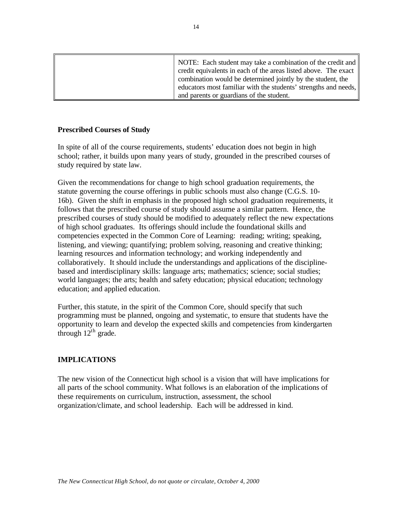| NOTE: Each student may take a combination of the credit and<br>credit equivalents in each of the areas listed above. The exact<br>combination would be determined jointly by the student, the |
|-----------------------------------------------------------------------------------------------------------------------------------------------------------------------------------------------|
| educators most familiar with the students' strengths and needs,<br>and parents or guardians of the student.                                                                                   |

#### **Prescribed Courses of Study**

In spite of all of the course requirements, students' education does not begin in high school; rather, it builds upon many years of study, grounded in the prescribed courses of study required by state law.

Given the recommendations for change to high school graduation requirements, the statute governing the course offerings in public schools must also change (C.G.S. 10- 16b). Given the shift in emphasis in the proposed high school graduation requirements, it follows that the prescribed course of study should assume a similar pattern. Hence, the prescribed courses of study should be modified to adequately reflect the new expectations of high school graduates. Its offerings should include the foundational skills and competencies expected in the Common Core of Learning: reading; writing; speaking, listening, and viewing; quantifying; problem solving, reasoning and creative thinking; learning resources and information technology; and working independently and collaboratively. It should include the understandings and applications of the disciplinebased and interdisciplinary skills: language arts; mathematics; science; social studies; world languages; the arts; health and safety education; physical education; technology education; and applied education.

Further, this statute, in the spirit of the Common Core, should specify that such programming must be planned, ongoing and systematic, to ensure that students have the opportunity to learn and develop the expected skills and competencies from kindergarten through  $12^{th}$  grade.

#### **IMPLICATIONS**

The new vision of the Connecticut high school is a vision that will have implications for all parts of the school community. What follows is an elaboration of the implications of these requirements on curriculum, instruction, assessment, the school organization/climate, and school leadership. Each will be addressed in kind.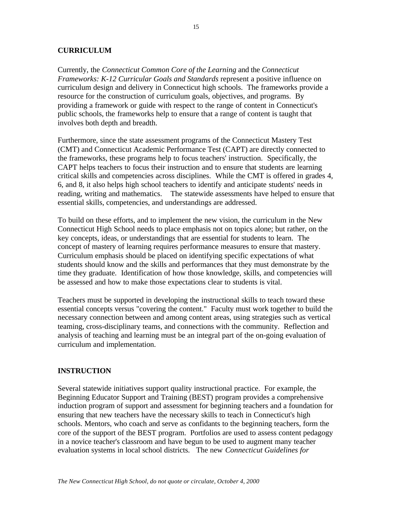#### **CURRICULUM**

Currently, the *Connecticut Common Core of the Learning* and the *Connecticut Frameworks: K-12 Curricular Goals and Standards* represent a positive influence on curriculum design and delivery in Connecticut high schools. The frameworks provide a resource for the construction of curriculum goals, objectives, and programs. By providing a framework or guide with respect to the range of content in Connecticut's public schools, the frameworks help to ensure that a range of content is taught that involves both depth and breadth.

Furthermore, since the state assessment programs of the Connecticut Mastery Test (CMT) and Connecticut Academic Performance Test (CAPT) are directly connected to the frameworks, these programs help to focus teachers' instruction. Specifically, the CAPT helps teachers to focus their instruction and to ensure that students are learning critical skills and competencies across disciplines. While the CMT is offered in grades 4, 6, and 8, it also helps high school teachers to identify and anticipate students' needs in reading, writing and mathematics. The statewide assessments have helped to ensure that essential skills, competencies, and understandings are addressed.

To build on these efforts, and to implement the new vision, the curriculum in the New Connecticut High School needs to place emphasis not on topics alone; but rather, on the key concepts, ideas, or understandings that are essential for students to learn. The concept of mastery of learning requires performance measures to ensure that mastery. Curriculum emphasis should be placed on identifying specific expectations of what students should know and the skills and performances that they must demonstrate by the time they graduate. Identification of how those knowledge, skills, and competencies will be assessed and how to make those expectations clear to students is vital.

Teachers must be supported in developing the instructional skills to teach toward these essential concepts versus "covering the content." Faculty must work together to build the necessary connection between and among content areas, using strategies such as vertical teaming, cross-disciplinary teams, and connections with the community. Reflection and analysis of teaching and learning must be an integral part of the on-going evaluation of curriculum and implementation.

#### **INSTRUCTION**

Several statewide initiatives support quality instructional practice. For example, the Beginning Educator Support and Training (BEST) program provides a comprehensive induction program of support and assessment for beginning teachers and a foundation for ensuring that new teachers have the necessary skills to teach in Connecticut's high schools. Mentors, who coach and serve as confidants to the beginning teachers, form the core of the support of the BEST program. Portfolios are used to assess content pedagogy in a novice teacher's classroom and have begun to be used to augment many teacher evaluation systems in local school districts. The new *Connecticut Guidelines for*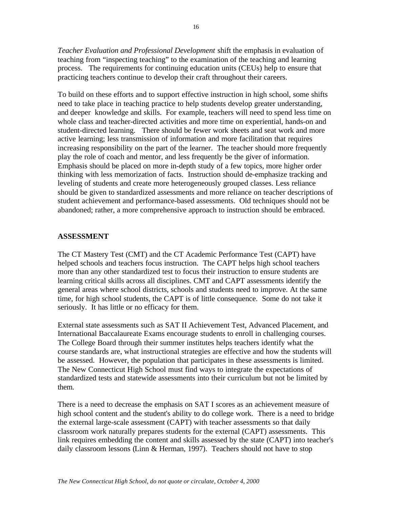*Teacher Evaluation and Professional Development* shift the emphasis in evaluation of teaching from "inspecting teaching" to the examination of the teaching and learning process. The requirements for continuing education units (CEUs) help to ensure that practicing teachers continue to develop their craft throughout their careers.

To build on these efforts and to support effective instruction in high school, some shifts need to take place in teaching practice to help students develop greater understanding, and deeper knowledge and skills. For example, teachers will need to spend less time on whole class and teacher-directed activities and more time on experiential, hands-on and student-directed learning. There should be fewer work sheets and seat work and more active learning; less transmission of information and more facilitation that requires increasing responsibility on the part of the learner. The teacher should more frequently play the role of coach and mentor, and less frequently be the giver of information. Emphasis should be placed on more in-depth study of a few topics, more higher order thinking with less memorization of facts. Instruction should de-emphasize tracking and leveling of students and create more heterogeneously grouped classes. Less reliance should be given to standardized assessments and more reliance on teacher descriptions of student achievement and performance-based assessments. Old techniques should not be abandoned; rather, a more comprehensive approach to instruction should be embraced.

#### **ASSESSMENT**

The CT Mastery Test (CMT) and the CT Academic Performance Test (CAPT) have helped schools and teachers focus instruction. The CAPT helps high school teachers more than any other standardized test to focus their instruction to ensure students are learning critical skills across all disciplines. CMT and CAPT assessments identify the general areas where school districts, schools and students need to improve. At the same time, for high school students, the CAPT is of little consequence. Some do not take it seriously. It has little or no efficacy for them.

External state assessments such as SAT II Achievement Test, Advanced Placement, and International Baccalaureate Exams encourage students to enroll in challenging courses. The College Board through their summer institutes helps teachers identify what the course standards are, what instructional strategies are effective and how the students will be assessed. However, the population that participates in these assessments is limited. The New Connecticut High School must find ways to integrate the expectations of standardized tests and statewide assessments into their curriculum but not be limited by them.

There is a need to decrease the emphasis on SAT I scores as an achievement measure of high school content and the student's ability to do college work. There is a need to bridge the external large-scale assessment (CAPT) with teacher assessments so that daily classroom work naturally prepares students for the external (CAPT) assessments. This link requires embedding the content and skills assessed by the state (CAPT) into teacher's daily classroom lessons (Linn & Herman, 1997). Teachers should not have to stop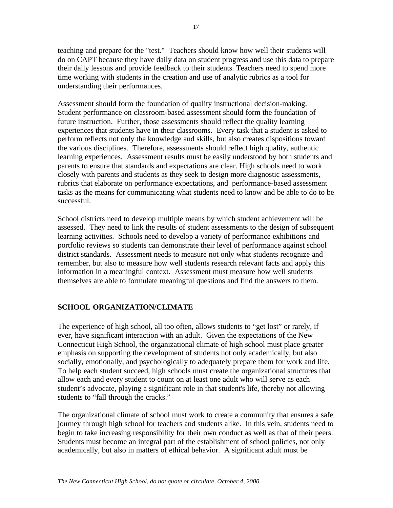teaching and prepare for the "test." Teachers should know how well their students will do on CAPT because they have daily data on student progress and use this data to prepare their daily lessons and provide feedback to their students. Teachers need to spend more time working with students in the creation and use of analytic rubrics as a tool for understanding their performances.

Assessment should form the foundation of quality instructional decision-making. Student performance on classroom-based assessment should form the foundation of future instruction. Further, those assessments should reflect the quality learning experiences that students have in their classrooms. Every task that a student is asked to perform reflects not only the knowledge and skills, but also creates dispositions toward the various disciplines. Therefore, assessments should reflect high quality, authentic learning experiences. Assessment results must be easily understood by both students and parents to ensure that standards and expectations are clear. High schools need to work closely with parents and students as they seek to design more diagnostic assessments, rubrics that elaborate on performance expectations, and performance-based assessment tasks as the means for communicating what students need to know and be able to do to be successful.

School districts need to develop multiple means by which student achievement will be assessed. They need to link the results of student assessments to the design of subsequent learning activities. Schools need to develop a variety of performance exhibitions and portfolio reviews so students can demonstrate their level of performance against school district standards. Assessment needs to measure not only what students recognize and remember, but also to measure how well students research relevant facts and apply this information in a meaningful context. Assessment must measure how well students themselves are able to formulate meaningful questions and find the answers to them.

# **SCHOOL ORGANIZATION/CLIMATE**

The experience of high school, all too often, allows students to "get lost" or rarely, if ever, have significant interaction with an adult. Given the expectations of the New Connecticut High School, the organizational climate of high school must place greater emphasis on supporting the development of students not only academically, but also socially, emotionally, and psychologically to adequately prepare them for work and life. To help each student succeed, high schools must create the organizational structures that allow each and every student to count on at least one adult who will serve as each student's advocate, playing a significant role in that student's life, thereby not allowing students to "fall through the cracks."

The organizational climate of school must work to create a community that ensures a safe journey through high school for teachers and students alike. In this vein, students need to begin to take increasing responsibility for their own conduct as well as that of their peers. Students must become an integral part of the establishment of school policies, not only academically, but also in matters of ethical behavior. A significant adult must be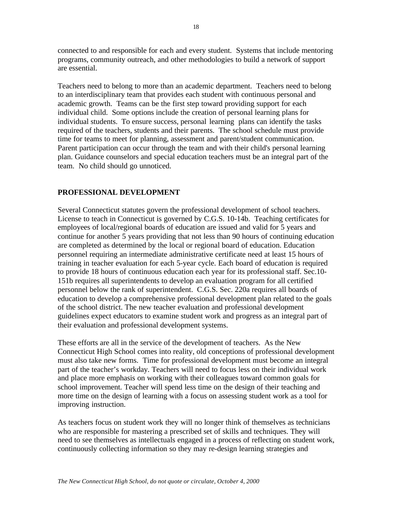connected to and responsible for each and every student. Systems that include mentoring programs, community outreach, and other methodologies to build a network of support are essential.

Teachers need to belong to more than an academic department. Teachers need to belong to an interdisciplinary team that provides each student with continuous personal and academic growth. Teams can be the first step toward providing support for each individual child. Some options include the creation of personal learning plans for individual students. To ensure success, personal learning plans can identify the tasks required of the teachers, students and their parents. The school schedule must provide time for teams to meet for planning, assessment and parent/student communication. Parent participation can occur through the team and with their child's personal learning plan. Guidance counselors and special education teachers must be an integral part of the team. No child should go unnoticed.

# **PROFESSIONAL DEVELOPMENT**

Several Connecticut statutes govern the professional development of school teachers. License to teach in Connecticut is governed by C.G.S. 10-14b. Teaching certificates for employees of local/regional boards of education are issued and valid for 5 years and continue for another 5 years providing that not less than 90 hours of continuing education are completed as determined by the local or regional board of education. Education personnel requiring an intermediate administrative certificate need at least 15 hours of training in teacher evaluation for each 5-year cycle. Each board of education is required to provide 18 hours of continuous education each year for its professional staff. Sec.10- 151b requires all superintendents to develop an evaluation program for all certified personnel below the rank of superintendent. C.G.S. Sec. 220a requires all boards of education to develop a comprehensive professional development plan related to the goals of the school district. The new teacher evaluation and professional development guidelines expect educators to examine student work and progress as an integral part of their evaluation and professional development systems.

These efforts are all in the service of the development of teachers. As the New Connecticut High School comes into reality, old conceptions of professional development must also take new forms. Time for professional development must become an integral part of the teacher's workday. Teachers will need to focus less on their individual work and place more emphasis on working with their colleagues toward common goals for school improvement. Teacher will spend less time on the design of their teaching and more time on the design of learning with a focus on assessing student work as a tool for improving instruction.

As teachers focus on student work they will no longer think of themselves as technicians who are responsible for mastering a prescribed set of skills and techniques. They will need to see themselves as intellectuals engaged in a process of reflecting on student work, continuously collecting information so they may re-design learning strategies and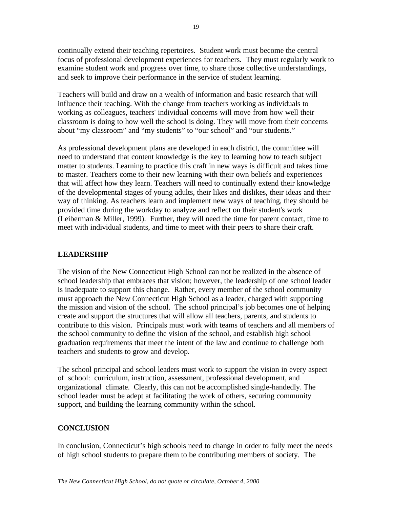continually extend their teaching repertoires. Student work must become the central focus of professional development experiences for teachers. They must regularly work to examine student work and progress over time, to share those collective understandings, and seek to improve their performance in the service of student learning.

Teachers will build and draw on a wealth of information and basic research that will influence their teaching. With the change from teachers working as individuals to working as colleagues, teachers' individual concerns will move from how well their classroom is doing to how well the school is doing. They will move from their concerns about "my classroom" and "my students" to "our school" and "our students."

As professional development plans are developed in each district, the committee will need to understand that content knowledge is the key to learning how to teach subject matter to students. Learning to practice this craft in new ways is difficult and takes time to master. Teachers come to their new learning with their own beliefs and experiences that will affect how they learn. Teachers will need to continually extend their knowledge of the developmental stages of young adults, their likes and dislikes, their ideas and their way of thinking. As teachers learn and implement new ways of teaching, they should be provided time during the workday to analyze and reflect on their student's work (Leiberman & Miller, 1999). Further, they will need the time for parent contact, time to meet with individual students, and time to meet with their peers to share their craft.

# **LEADERSHIP**

The vision of the New Connecticut High School can not be realized in the absence of school leadership that embraces that vision; however, the leadership of one school leader is inadequate to support this change. Rather, every member of the school community must approach the New Connecticut High School as a leader, charged with supporting the mission and vision of the school. The school principal's job becomes one of helping create and support the structures that will allow all teachers, parents, and students to contribute to this vision. Principals must work with teams of teachers and all members of the school community to define the vision of the school, and establish high school graduation requirements that meet the intent of the law and continue to challenge both teachers and students to grow and develop.

The school principal and school leaders must work to support the vision in every aspect of school: curriculum, instruction, assessment, professional development, and organizational climate. Clearly, this can not be accomplished single-handedly. The school leader must be adept at facilitating the work of others, securing community support, and building the learning community within the school.

#### **CONCLUSION**

In conclusion, Connecticut's high schools need to change in order to fully meet the needs of high school students to prepare them to be contributing members of society. The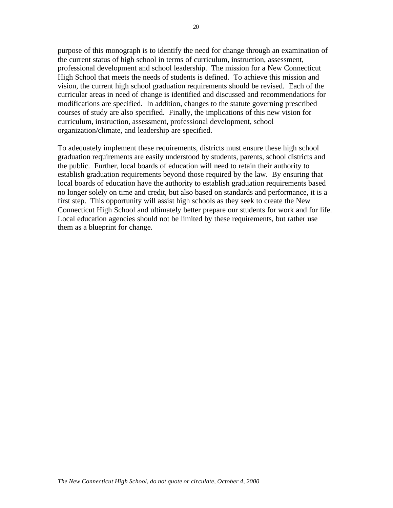purpose of this monograph is to identify the need for change through an examination of the current status of high school in terms of curriculum, instruction, assessment, professional development and school leadership. The mission for a New Connecticut High School that meets the needs of students is defined. To achieve this mission and vision, the current high school graduation requirements should be revised. Each of the curricular areas in need of change is identified and discussed and recommendations for modifications are specified. In addition, changes to the statute governing prescribed courses of study are also specified. Finally, the implications of this new vision for curriculum, instruction, assessment, professional development, school organization/climate, and leadership are specified.

To adequately implement these requirements, districts must ensure these high school graduation requirements are easily understood by students, parents, school districts and the public. Further, local boards of education will need to retain their authority to establish graduation requirements beyond those required by the law. By ensuring that local boards of education have the authority to establish graduation requirements based no longer solely on time and credit, but also based on standards and performance, it is a first step. This opportunity will assist high schools as they seek to create the New Connecticut High School and ultimately better prepare our students for work and for life. Local education agencies should not be limited by these requirements, but rather use them as a blueprint for change.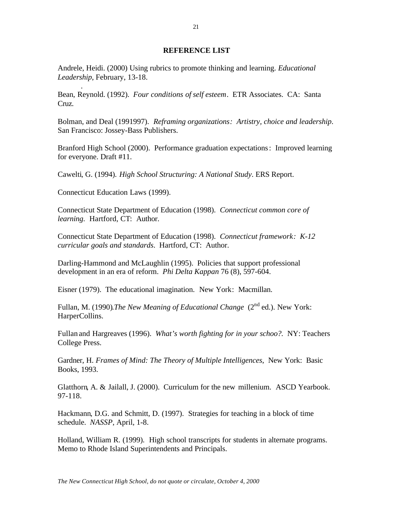#### **REFERENCE LIST**

Andrele, Heidi. (2000) Using rubrics to promote thinking and learning. *Educational Leadership*, February, 13-18.

Bean, Reynold. (1992). *Four conditions of self esteem*. ETR Associates. CA: Santa Cruz.

Bolman, and Deal (1991997). *Reframing organizations: Artistry, choice and leadership*. San Francisco: Jossey-Bass Publishers.

Branford High School (2000). Performance graduation expectations : Improved learning for everyone. Draft #11.

Cawelti, G. (1994). *High School Structuring: A National Study*. ERS Report.

Connecticut Education Laws (1999).

.

Connecticut State Department of Education (1998). *Connecticut common core of learning*. Hartford, CT: Author.

Connecticut State Department of Education (1998). *Connecticut framework: K-12 curricular goals and standards*. Hartford, CT: Author.

Darling-Hammond and McLaughlin (1995). Policies that support professional development in an era of reform. *Phi Delta Kappan* 76 (8), 597-604.

Eisner (1979). The educational imagination. New York: Macmillan.

Fullan, M. (1990).*The New Meaning of Educational Change* (2<sup>nd</sup> ed.). New York: HarperCollins.

Fullan and Hargreaves (1996). *What's worth fighting for in your schoo?.* NY: Teachers College Press.

Gardner, H. *Frames of Mind: The Theory of Multiple Intelligences*, New York: Basic Books, 1993.

Glatthorn, A. & Jailall, J. (2000). Curriculum for the new millenium. ASCD Yearbook. 97-118.

Hackmann, D.G. and Schmitt, D. (1997). Strategies for teaching in a block of time schedule. *NASSP*, April, 1-8.

Holland, William R. (1999). High school transcripts for students in alternate programs. Memo to Rhode Island Superintendents and Principals.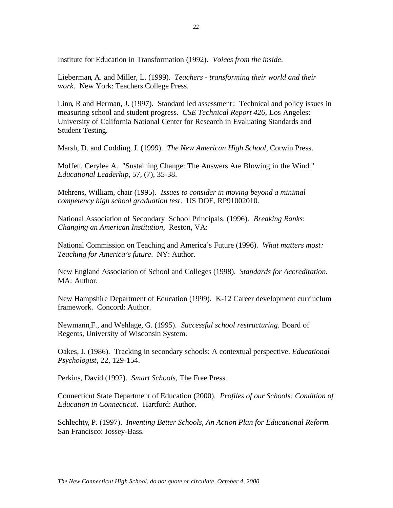Institute for Education in Transformation (1992). *Voices from the inside*.

Lieberman, A. and Miller, L. (1999). *Teachers - transforming their world and their work.* New York: Teachers College Press.

Linn, R and Herman, J. (1997). Standard led assessment : Technical and policy issues in measuring school and student progress*. CSE Technical Report 426*, Los Angeles: University of California National Center for Research in Evaluating Standards and Student Testing.

Marsh, D. and Codding, J. (1999). *The New American High School,* Corwin Press.

Moffett, Cerylee A. "Sustaining Change: The Answers Are Blowing in the Wind." *Educational Leaderhip,* 57, (7), 35-38.

Mehrens, William, chair (1995). *Issues to consider in moving beyond a minimal competency high school graduation test*. US DOE, RP91002010.

National Association of Secondary School Principals. (1996). *Breaking Ranks: Changing an American Institution*, Reston, VA:

National Commission on Teaching and America's Future (1996). *What matters most: Teaching for America's future*. NY: Author.

New England Association of School and Colleges (1998). *Standards for Accreditation*. MA: Author.

New Hampshire Department of Education (1999). K-12 Career development curriuclum framework. Concord: Author.

Newmann,F., and Wehlage, G. (1995). *Successful school restructuring*. Board of Regents, University of Wisconsin System.

Oakes, J. (1986). Tracking in secondary schools: A contextual perspective. *Educational Psychologist*, 22, 129-154.

Perkins, David (1992). *Smart Schools,* The Free Press.

Connecticut State Department of Education (2000). *Profiles of our Schools: Condition of Education in Connecticut*. Hartford: Author.

Schlechty, P. (1997). *Inventing Better Schools, An Action Plan for Educational Reform.*  San Francisco: Jossey-Bass.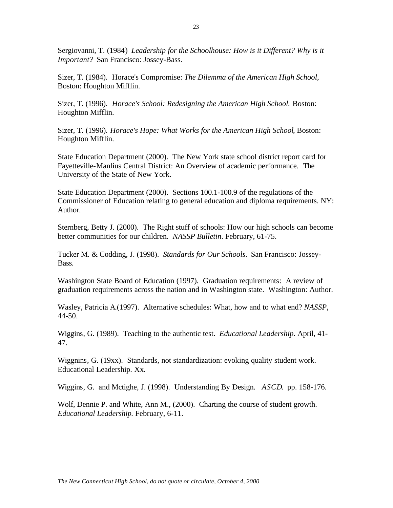Sergiovanni, T. (1984) *Leadership for the Schoolhouse: How is it Different? Why is it Important?* San Francisco: Jossey-Bass.

Sizer, T. (1984). Horace's Compromise: *The Dilemma of the American High School,*  Boston: Houghton Mifflin.

Sizer, T. (1996). *Horace's School: Redesigning the American High School.* Boston: Houghton Mifflin.

Sizer, T. (1996). *Horace's Hope: What Works for the American High School*, Boston: Houghton Mifflin.

State Education Department (2000). The New York state school district report card for Fayetteville-Manlius Central District: An Overview of academic performance. The University of the State of New York.

State Education Department (2000). Sections 100.1-100.9 of the regulations of the Commissioner of Education relating to general education and diploma requirements. NY: Author.

Sternberg, Betty J. (2000). The Right stuff of schools: How our high schools can become better communities for our children. *NASSP Bulletin*. February, 61-75.

Tucker M. & Codding, J. (1998). *Standards for Our Schools*. San Francisco: Jossey-Bass.

Washington State Board of Education (1997). Graduation requirements: A review of graduation requirements across the nation and in Washington state. Washington: Author.

Wasley, Patricia A.(1997). Alternative schedules: What, how and to what end? *NASSP*, 44-50.

Wiggins, G. (1989). Teaching to the authentic test. *Educational Leadership*. April, 41- 47.

Wiggnins, G. (19xx). Standards, not standardization: evoking quality student work. Educational Leadership. Xx.

Wiggins, G. and Mctighe, J. (1998). Understanding By Design. *ASCD*. pp. 158-176.

Wolf, Dennie P. and White, Ann M., (2000). Charting the course of student growth. *Educational Leadership.* February, 6-11.